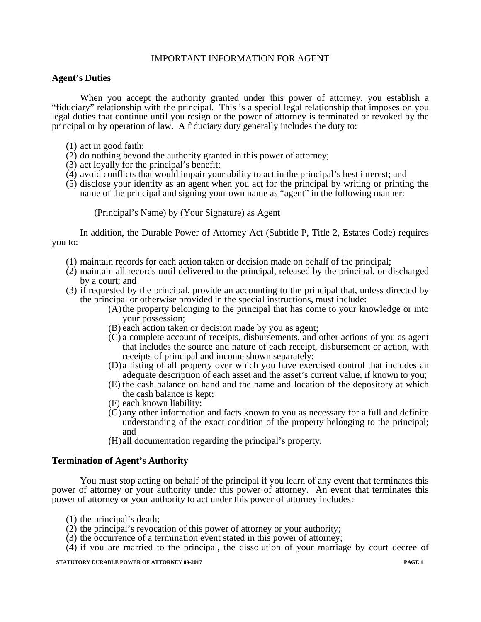## IMPORTANT INFORMATION FOR AGENT

## **Agent's Duties**

When you accept the authority granted under this power of attorney, you establish a "fiduciary" relationship with the principal. This is a special legal relationship that imposes on you legal duties that continue until you resign or the power of attorney is terminated or revoked by the principal or by operation of law. A fiduciary duty generally includes the duty to:

- (1) act in good faith;
- (2) do nothing beyond the authority granted in this power of attorney;
- (3) act loyally for the principal's benefit;
- (4) avoid conflicts that would impair your ability to act in the principal's best interest; and
- (5) disclose your identity as an agent when you act for the principal by writing or printing the name of the principal and signing your own name as "agent" in the following manner:

(Principal's Name) by (Your Signature) as Agent

In addition, the Durable Power of Attorney Act (Subtitle P, Title 2, Estates Code) requires you to:

- (1) maintain records for each action taken or decision made on behalf of the principal;
- (2) maintain all records until delivered to the principal, released by the principal, or discharged by a court; and
- (3) if requested by the principal, provide an accounting to the principal that, unless directed by the principal or otherwise provided in the special instructions, must include:
	- (A)the property belonging to the principal that has come to your knowledge or into your possession;
	- (B) each action taken or decision made by you as agent;
	- (C) a complete account of receipts, disbursements, and other actions of you as agent that includes the source and nature of each receipt, disbursement or action, with receipts of principal and income shown separately;
	- (D) a listing of all property over which you have exercised control that includes an adequate description of each asset and the asset's current value, if known to you;
	- (E) the cash balance on hand and the name and location of the depository at which the cash balance is kept;
	- (F) each known liability;
	- (G) any other information and facts known to you as necessary for a full and definite understanding of the exact condition of the property belonging to the principal; and
	- (H) all documentation regarding the principal's property.

## **Termination of Agent's Authority**

You must stop acting on behalf of the principal if you learn of any event that terminates this power of attorney or your authority under this power of attorney. An event that terminates this power of attorney or your authority to act under this power of attorney includes:

- (1) the principal's death;
- (2) the principal's revocation of this power of attorney or your authority;
- (3) the occurrence of a termination event stated in this power of attorney;
- (4) if you are married to the principal, the dissolution of your marriage by court decree of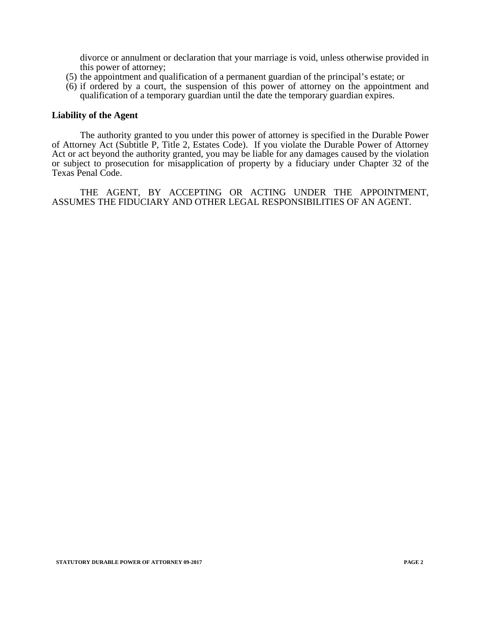divorce or annulment or declaration that your marriage is void, unless otherwise provided in this power of attorney;

- (5) the appointment and qualification of a permanent guardian of the principal's estate; or
- (6) if ordered by a court, the suspension of this power of attorney on the appointment and qualification of a temporary guardian until the date the temporary guardian expires.

#### **Liability of the Agent**

The authority granted to you under this power of attorney is specified in the Durable Power of Attorney Act (Subtitle P, Title 2, Estates Code). If you violate the Durable Power of Attorney Act or act beyond the authority granted, you may be liable for any damages caused by the violation or subject to prosecution for misapplication of property by a fiduciary under Chapter 32 of the Texas Penal Code.

THE AGENT, BY ACCEPTING OR ACTING UNDER THE APPOINTMENT, ASSUMES THE FIDUCIARY AND OTHER LEGAL RESPONSIBILITIES OF AN AGENT.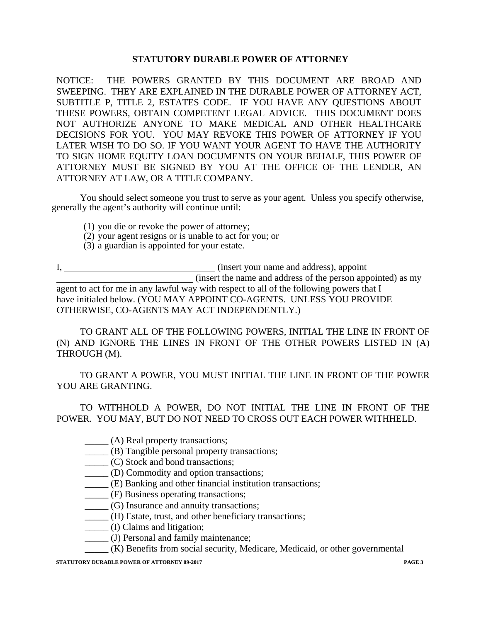## **STATUTORY DURABLE POWER OF ATTORNEY**

NOTICE: THE POWERS GRANTED BY THIS DOCUMENT ARE BROAD AND SWEEPING. THEY ARE EXPLAINED IN THE DURABLE POWER OF ATTORNEY ACT, SUBTITLE P, TITLE 2, ESTATES CODE. IF YOU HAVE ANY QUESTIONS ABOUT THESE POWERS, OBTAIN COMPETENT LEGAL ADVICE. THIS DOCUMENT DOES NOT AUTHORIZE ANYONE TO MAKE MEDICAL AND OTHER HEALTHCARE DECISIONS FOR YOU. YOU MAY REVOKE THIS POWER OF ATTORNEY IF YOU LATER WISH TO DO SO. IF YOU WANT YOUR AGENT TO HAVE THE AUTHORITY TO SIGN HOME EQUITY LOAN DOCUMENTS ON YOUR BEHALF, THIS POWER OF ATTORNEY MUST BE SIGNED BY YOU AT THE OFFICE OF THE LENDER, AN ATTORNEY AT LAW, OR A TITLE COMPANY.

You should select someone you trust to serve as your agent. Unless you specify otherwise, generally the agent's authority will continue until:

- (1) you die or revoke the power of attorney;
- (2) your agent resigns or is unable to act for you; or
- (3) a guardian is appointed for your estate.

I, (insert your name and address), appoint (insert the name and address of the person appointed) as my agent to act for me in any lawful way with respect to all of the following powers that I have initialed below. (YOU MAY APPOINT CO-AGENTS. UNLESS YOU PROVIDE OTHERWISE, CO-AGENTS MAY ACT INDEPENDENTLY.)

TO GRANT ALL OF THE FOLLOWING POWERS, INITIAL THE LINE IN FRONT OF (N) AND IGNORE THE LINES IN FRONT OF THE OTHER POWERS LISTED IN (A) THROUGH (M).

TO GRANT A POWER, YOU MUST INITIAL THE LINE IN FRONT OF THE POWER YOU ARE GRANTING.

TO WITHHOLD A POWER, DO NOT INITIAL THE LINE IN FRONT OF THE POWER. YOU MAY, BUT DO NOT NEED TO CROSS OUT EACH POWER WITHHELD.

- \_\_\_\_\_ (A) Real property transactions;
- \_\_\_\_\_ (B) Tangible personal property transactions;
- \_\_\_\_\_ (C) Stock and bond transactions;
- \_\_\_\_\_ (D) Commodity and option transactions;
- \_\_\_\_\_ (E) Banking and other financial institution transactions;
- \_\_\_\_\_ (F) Business operating transactions;
- \_\_\_\_\_ (G) Insurance and annuity transactions;
- \_\_\_\_\_ (H) Estate, trust, and other beneficiary transactions;
- \_\_\_\_\_ (I) Claims and litigation;
- \_\_\_\_\_ (J) Personal and family maintenance;
- \_\_\_\_\_ (K) Benefits from social security, Medicare, Medicaid, or other governmental

**STATUTORY DURABLE POWER OF ATTORNEY 09-2017 PAGE 3**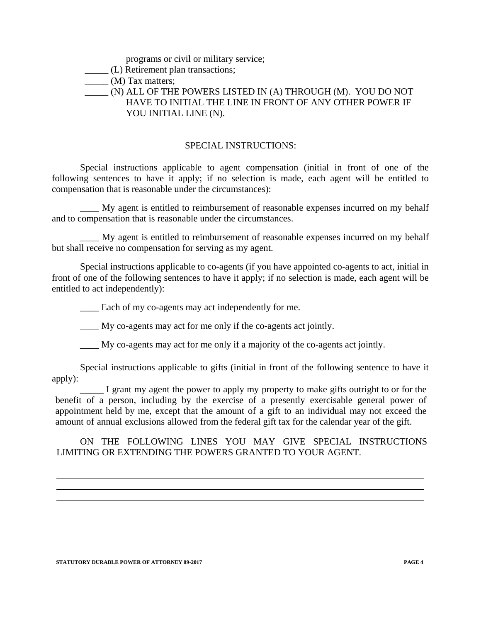programs or civil or military service;

\_\_\_\_\_ (L) Retirement plan transactions;

\_\_\_\_\_\_ (M) Tax matters;

# \_\_\_\_\_ (N) ALL OF THE POWERS LISTED IN (A) THROUGH (M). YOU DO NOT HAVE TO INITIAL THE LINE IN FRONT OF ANY OTHER POWER IF YOU INITIAL LINE (N).

## SPECIAL INSTRUCTIONS:

Special instructions applicable to agent compensation (initial in front of one of the following sentences to have it apply; if no selection is made, each agent will be entitled to compensation that is reasonable under the circumstances):

\_\_\_\_ My agent is entitled to reimbursement of reasonable expenses incurred on my behalf and to compensation that is reasonable under the circumstances.

\_\_\_\_ My agent is entitled to reimbursement of reasonable expenses incurred on my behalf but shall receive no compensation for serving as my agent.

Special instructions applicable to co-agents (if you have appointed co-agents to act, initial in front of one of the following sentences to have it apply; if no selection is made, each agent will be entitled to act independently):

Each of my co-agents may act independently for me.

\_\_\_\_ My co-agents may act for me only if the co-agents act jointly.

\_\_\_\_ My co-agents may act for me only if a majority of the co-agents act jointly.

Special instructions applicable to gifts (initial in front of the following sentence to have it apply):

I grant my agent the power to apply my property to make gifts outright to or for the benefit of a person, including by the exercise of a presently exercisable general power of appointment held by me, except that the amount of a gift to an individual may not exceed the amount of annual exclusions allowed from the federal gift tax for the calendar year of the gift.

# ON THE FOLLOWING LINES YOU MAY GIVE SPECIAL INSTRUCTIONS LIMITING OR EXTENDING THE POWERS GRANTED TO YOUR AGENT.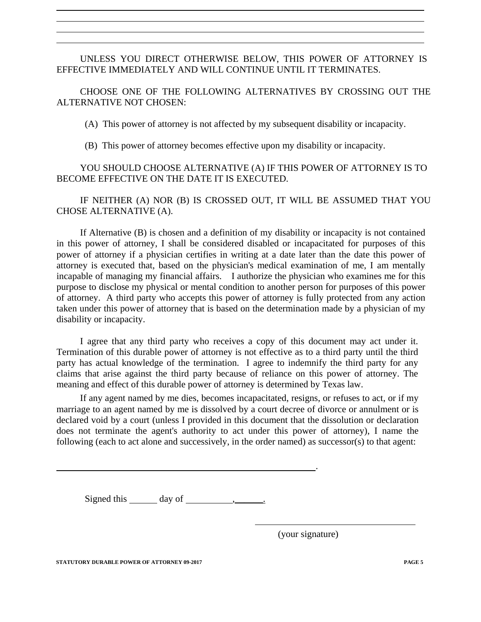UNLESS YOU DIRECT OTHERWISE BELOW, THIS POWER OF ATTORNEY IS EFFECTIVE IMMEDIATELY AND WILL CONTINUE UNTIL IT TERMINATES.

CHOOSE ONE OF THE FOLLOWING ALTERNATIVES BY CROSSING OUT THE ALTERNATIVE NOT CHOSEN:

(A) This power of attorney is not affected by my subsequent disability or incapacity.

(B) This power of attorney becomes effective upon my disability or incapacity.

YOU SHOULD CHOOSE ALTERNATIVE (A) IF THIS POWER OF ATTORNEY IS TO BECOME EFFECTIVE ON THE DATE IT IS EXECUTED.

IF NEITHER (A) NOR (B) IS CROSSED OUT, IT WILL BE ASSUMED THAT YOU CHOSE ALTERNATIVE (A).

If Alternative (B) is chosen and a definition of my disability or incapacity is not contained in this power of attorney, I shall be considered disabled or incapacitated for purposes of this power of attorney if a physician certifies in writing at a date later than the date this power of attorney is executed that, based on the physician's medical examination of me, I am mentally incapable of managing my financial affairs. I authorize the physician who examines me for this purpose to disclose my physical or mental condition to another person for purposes of this power of attorney. A third party who accepts this power of attorney is fully protected from any action taken under this power of attorney that is based on the determination made by a physician of my disability or incapacity.

I agree that any third party who receives a copy of this document may act under it. Termination of this durable power of attorney is not effective as to a third party until the third party has actual knowledge of the termination. I agree to indemnify the third party for any claims that arise against the third party because of reliance on this power of attorney. The meaning and effect of this durable power of attorney is determined by Texas law.

If any agent named by me dies, becomes incapacitated, resigns, or refuses to act, or if my marriage to an agent named by me is dissolved by a court decree of divorce or annulment or is declared void by a court (unless I provided in this document that the dissolution or declaration does not terminate the agent's authority to act under this power of attorney), I name the following (each to act alone and successively, in the order named) as successor(s) to that agent:

Signed this  $\_\_\_\_\_\$  day of  $\_\_\_\_\_\_\_\_\_\_\_\_\_\_\_\_\_\_\_$ 

(your signature)

.

**STATUTORY DURABLE POWER OF ATTORNEY 09-2017 PAGE 5**